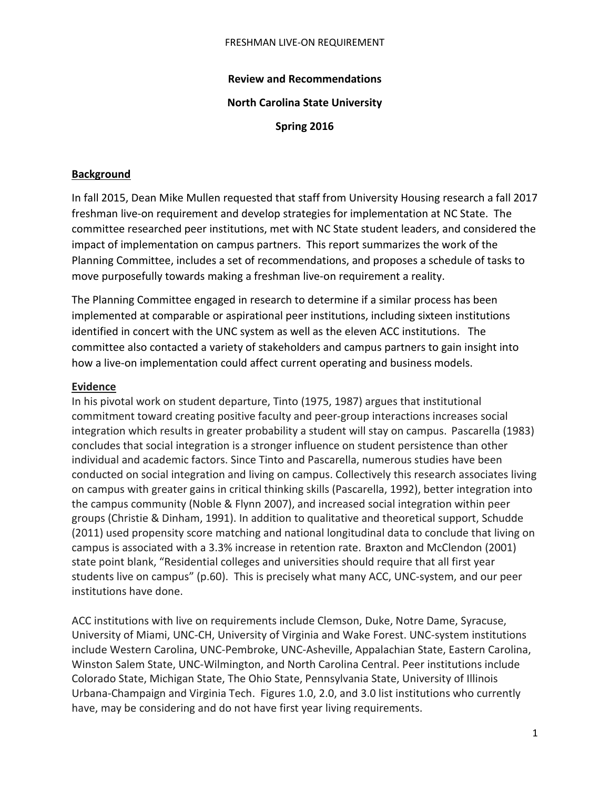## **Review and Recommendations**

## **North Carolina State University**

**Spring 2016**

### **Background**

In fall 2015, Dean Mike Mullen requested that staff from University Housing research a fall 2017 freshman live-on requirement and develop strategies for implementation at NC State. The committee researched peer institutions, met with NC State student leaders, and considered the impact of implementation on campus partners. This report summarizes the work of the Planning Committee, includes a set of recommendations, and proposes a schedule of tasks to move purposefully towards making a freshman live-on requirement a reality.

The Planning Committee engaged in research to determine if a similar process has been implemented at comparable or aspirational peer institutions, including sixteen institutions identified in concert with the UNC system as well as the eleven ACC institutions. The committee also contacted a variety of stakeholders and campus partners to gain insight into how a live-on implementation could affect current operating and business models.

### **Evidence**

In his pivotal work on student departure, Tinto (1975, 1987) argues that institutional commitment toward creating positive faculty and peer-group interactions increases social integration which results in greater probability a student will stay on campus. Pascarella (1983) concludes that social integration is a stronger influence on student persistence than other individual and academic factors. Since Tinto and Pascarella, numerous studies have been conducted on social integration and living on campus. Collectively this research associates living on campus with greater gains in critical thinking skills (Pascarella, 1992), better integration into the campus community (Noble & Flynn 2007), and increased social integration within peer groups (Christie & Dinham, 1991). In addition to qualitative and theoretical support, Schudde (2011) used propensity score matching and national longitudinal data to conclude that living on campus is associated with a 3.3% increase in retention rate. Braxton and McClendon (2001) state point blank, "Residential colleges and universities should require that all first year students live on campus" (p.60). This is precisely what many ACC, UNC-system, and our peer institutions have done.

ACC institutions with live on requirements include Clemson, Duke, Notre Dame, Syracuse, University of Miami, UNC-CH, University of Virginia and Wake Forest. UNC-system institutions include Western Carolina, UNC-Pembroke, UNC-Asheville, Appalachian State, Eastern Carolina, Winston Salem State, UNC-Wilmington, and North Carolina Central. Peer institutions include Colorado State, Michigan State, The Ohio State, Pennsylvania State, University of Illinois Urbana-Champaign and Virginia Tech. Figures 1.0, 2.0, and 3.0 list institutions who currently have, may be considering and do not have first year living requirements.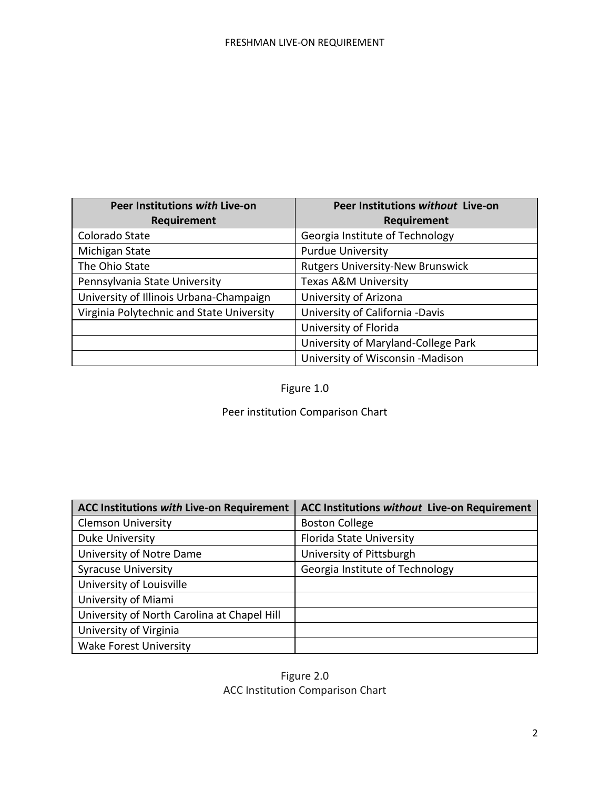| Peer Institutions with Live-on            | Peer Institutions without Live-on       |
|-------------------------------------------|-----------------------------------------|
| Requirement                               | Requirement                             |
| Colorado State                            | Georgia Institute of Technology         |
| Michigan State                            | <b>Purdue University</b>                |
| The Ohio State                            | <b>Rutgers University-New Brunswick</b> |
| Pennsylvania State University             | Texas A&M University                    |
| University of Illinois Urbana-Champaign   | University of Arizona                   |
| Virginia Polytechnic and State University | University of California -Davis         |
|                                           | University of Florida                   |
|                                           | University of Maryland-College Park     |
|                                           | University of Wisconsin -Madison        |

# Figure 1.0

# Peer institution Comparison Chart

| <b>ACC Institutions with Live-on Requirement</b> | <b>ACC Institutions without Live-on Requirement</b> |
|--------------------------------------------------|-----------------------------------------------------|
| <b>Clemson University</b>                        | <b>Boston College</b>                               |
| Duke University                                  | Florida State University                            |
| University of Notre Dame                         | University of Pittsburgh                            |
| <b>Syracuse University</b>                       | Georgia Institute of Technology                     |
| University of Louisville                         |                                                     |
| University of Miami                              |                                                     |
| University of North Carolina at Chapel Hill      |                                                     |
| University of Virginia                           |                                                     |
| <b>Wake Forest University</b>                    |                                                     |

# Figure 2.0 ACC Institution Comparison Chart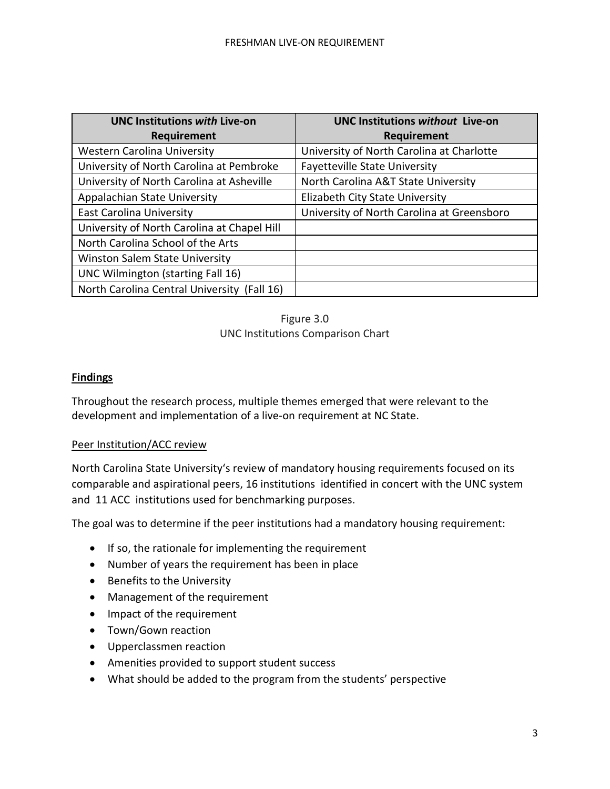| <b>UNC Institutions with Live-on</b>        | <b>UNC Institutions without Live-on</b>    |
|---------------------------------------------|--------------------------------------------|
| <b>Requirement</b>                          | <b>Requirement</b>                         |
| <b>Western Carolina University</b>          | University of North Carolina at Charlotte  |
| University of North Carolina at Pembroke    | <b>Fayetteville State University</b>       |
| University of North Carolina at Asheville   | North Carolina A&T State University        |
| Appalachian State University                | Elizabeth City State University            |
| East Carolina University                    | University of North Carolina at Greensboro |
| University of North Carolina at Chapel Hill |                                            |
| North Carolina School of the Arts           |                                            |
| Winston Salem State University              |                                            |
| UNC Wilmington (starting Fall 16)           |                                            |
| North Carolina Central University (Fall 16) |                                            |

## Figure 3.0 UNC Institutions Comparison Chart

## **Findings**

Throughout the research process, multiple themes emerged that were relevant to the development and implementation of a live-on requirement at NC State.

## Peer Institution/ACC review

North Carolina State University's review of mandatory housing requirements focused on its comparable and aspirational peers, 16 institutions identified in concert with the UNC system and 11 ACC institutions used for benchmarking purposes.

The goal was to determine if the peer institutions had a mandatory housing requirement:

- If so, the rationale for implementing the requirement
- Number of years the requirement has been in place
- Benefits to the University
- Management of the requirement
- Impact of the requirement
- Town/Gown reaction
- Upperclassmen reaction
- Amenities provided to support student success
- What should be added to the program from the students' perspective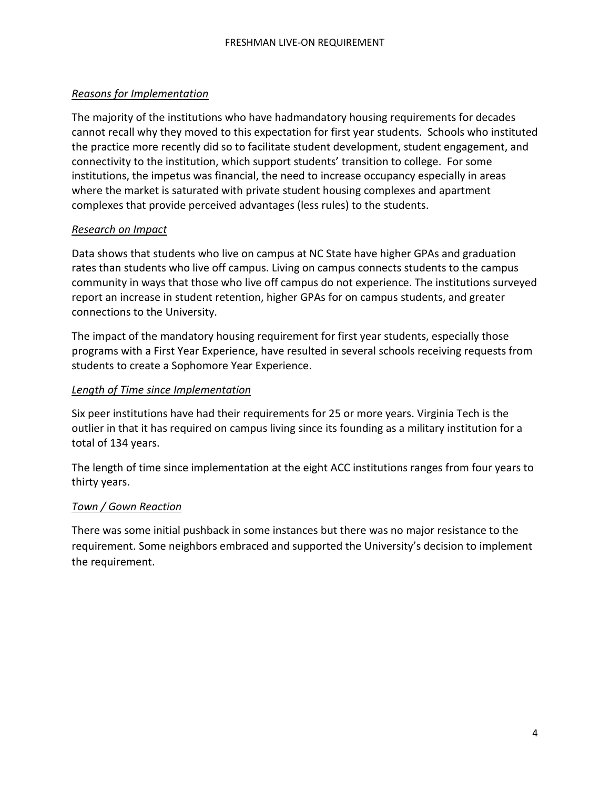## *Reasons for Implementation*

The majority of the institutions who have hadmandatory housing requirements for decades cannot recall why they moved to this expectation for first year students. Schools who instituted the practice more recently did so to facilitate student development, student engagement, and connectivity to the institution, which support students' transition to college. For some institutions, the impetus was financial, the need to increase occupancy especially in areas where the market is saturated with private student housing complexes and apartment complexes that provide perceived advantages (less rules) to the students.

# *Research on Impact*

Data shows that students who live on campus at NC State have higher GPAs and graduation rates than students who live off campus. Living on campus connects students to the campus community in ways that those who live off campus do not experience. The institutions surveyed report an increase in student retention, higher GPAs for on campus students, and greater connections to the University.

The impact of the mandatory housing requirement for first year students, especially those programs with a First Year Experience, have resulted in several schools receiving requests from students to create a Sophomore Year Experience.

## *Length of Time since Implementation*

Six peer institutions have had their requirements for 25 or more years. Virginia Tech is the outlier in that it has required on campus living since its founding as a military institution for a total of 134 years.

The length of time since implementation at the eight ACC institutions ranges from four years to thirty years.

# *Town / Gown Reaction*

There was some initial pushback in some instances but there was no major resistance to the requirement. Some neighbors embraced and supported the University's decision to implement the requirement.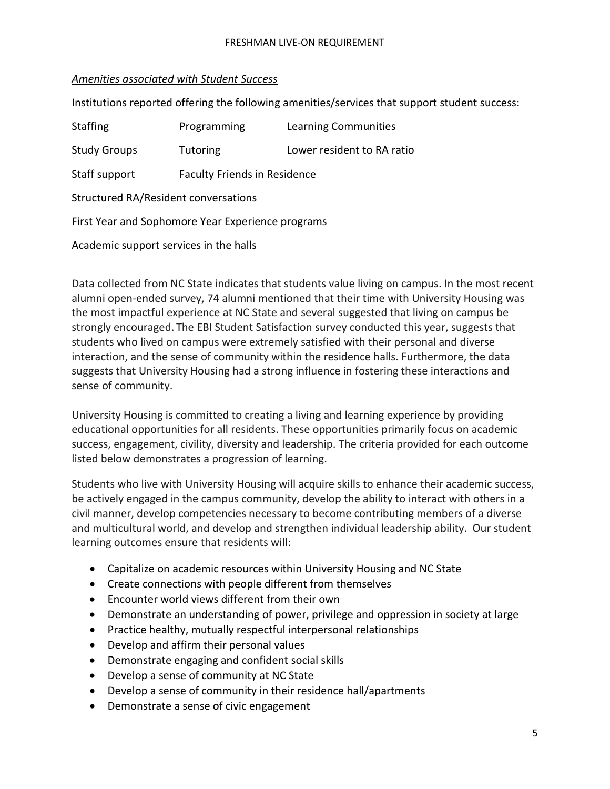# *Amenities associated with Student Success*

Institutions reported offering the following amenities/services that support student success:

| <b>Staffing</b>                                   | Programming                                 | Learning Communities       |  |  |  |  |  |  |
|---------------------------------------------------|---------------------------------------------|----------------------------|--|--|--|--|--|--|
| <b>Study Groups</b>                               | <b>Tutoring</b>                             | Lower resident to RA ratio |  |  |  |  |  |  |
| Staff support                                     | <b>Faculty Friends in Residence</b>         |                            |  |  |  |  |  |  |
|                                                   | <b>Structured RA/Resident conversations</b> |                            |  |  |  |  |  |  |
| First Year and Sophomore Year Experience programs |                                             |                            |  |  |  |  |  |  |
| Academic support services in the halls            |                                             |                            |  |  |  |  |  |  |

Data collected from NC State indicates that students value living on campus. In the most recent alumni open-ended survey, 74 alumni mentioned that their time with University Housing was the most impactful experience at NC State and several suggested that living on campus be strongly encouraged. The EBI Student Satisfaction survey conducted this year, suggests that students who lived on campus were extremely satisfied with their personal and diverse interaction, and the sense of community within the residence halls. Furthermore, the data suggests that University Housing had a strong influence in fostering these interactions and sense of community.

University Housing is committed to creating a living and learning experience by providing educational opportunities for all residents. These opportunities primarily focus on academic success, engagement, civility, diversity and leadership. The criteria provided for each outcome listed below demonstrates a progression of learning.

Students who live with University Housing will acquire skills to enhance their academic success, be actively engaged in the campus community, develop the ability to interact with others in a civil manner, develop competencies necessary to become contributing members of a diverse and multicultural world, and develop and strengthen individual leadership ability. Our student learning outcomes ensure that residents will:

- Capitalize on academic resources within University Housing and NC State
- Create connections with people different from themselves
- Encounter world views different from their own
- Demonstrate an understanding of power, privilege and oppression in society at large
- Practice healthy, mutually respectful interpersonal relationships
- Develop and affirm their personal values
- Demonstrate engaging and confident social skills
- Develop a sense of community at NC State
- Develop a sense of community in their residence hall/apartments
- Demonstrate a sense of civic engagement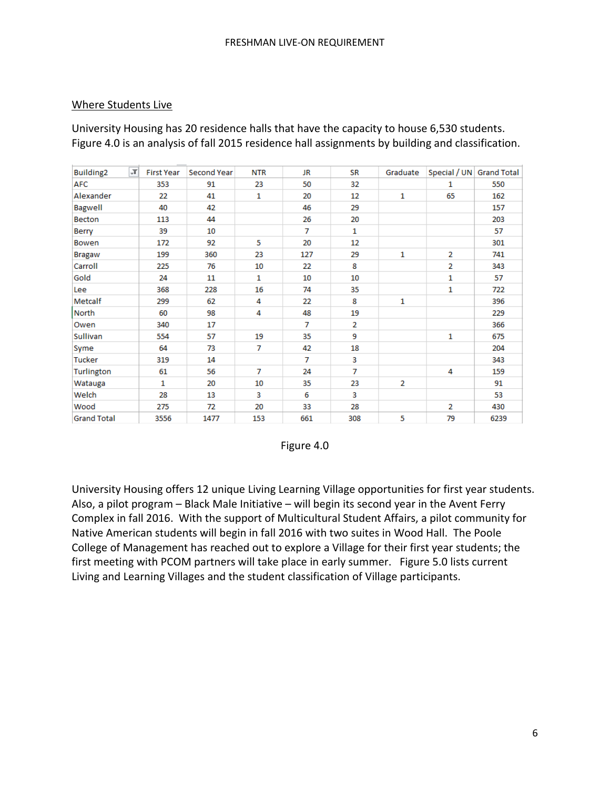## Where Students Live

University Housing has 20 residence halls that have the capacity to house 6,530 students. Figure 4.0 is an analysis of fall 2015 residence hall assignments by building and classification.

| J,<br>Building <sub>2</sub> | <b>First Year</b> | Second Year | <b>NTR</b>   | <b>JR</b> | <b>SR</b>      | Graduate       |                | Special / UN Grand Total |
|-----------------------------|-------------------|-------------|--------------|-----------|----------------|----------------|----------------|--------------------------|
| <b>AFC</b>                  | 353               | 91          | 23           | 50        | 32             |                | 1              | 550                      |
| Alexander                   | 22                | 41          | $\mathbf{1}$ | 20        | 12             | 1              | 65             | 162                      |
| <b>Bagwell</b>              | 40                | 42          |              | 46        | 29             |                |                | 157                      |
| <b>Becton</b>               | 113               | 44          |              | 26        | 20             |                |                | 203                      |
| Berry                       | 39                | 10          |              | 7         | $\mathbf{1}$   |                |                | 57                       |
| <b>Bowen</b>                | 172               | 92          | 5            | 20        | 12             |                |                | 301                      |
| <b>Bragaw</b>               | 199               | 360         | 23           | 127       | 29             | 1              | $\overline{2}$ | 741                      |
| Carroll                     | 225               | 76          | 10           | 22        | 8              |                | $\overline{2}$ | 343                      |
| Gold                        | 24                | 11          | $\mathbf{1}$ | 10        | 10             |                | 1              | 57                       |
| Lee                         | 368               | 228         | 16           | 74        | 35             |                | 1              | 722                      |
| Metcalf                     | 299               | 62          | 4            | 22        | 8              | 1              |                | 396                      |
| North                       | 60                | 98          | 4            | 48        | 19             |                |                | 229                      |
| Owen                        | 340               | 17          |              | 7         | $\overline{2}$ |                |                | 366                      |
| Sullivan                    | 554               | 57          | 19           | 35        | 9              |                | 1              | 675                      |
| Syme                        | 64                | 73          | 7            | 42        | 18             |                |                | 204                      |
| <b>Tucker</b>               | 319               | 14          |              | 7         | 3              |                |                | 343                      |
| Turlington                  | 61                | 56          | 7            | 24        | 7              |                | 4              | 159                      |
| Watauga                     | 1                 | 20          | 10           | 35        | 23             | $\overline{2}$ |                | 91                       |
| Welch                       | 28                | 13          | 3            | 6         | 3              |                |                | 53                       |
| Wood                        | 275               | 72          | 20           | 33        | 28             |                | $\overline{2}$ | 430                      |
| <b>Grand Total</b>          | 3556              | 1477        | 153          | 661       | 308            | 5              | 79             | 6239                     |



University Housing offers 12 unique Living Learning Village opportunities for first year students. Also, a pilot program – Black Male Initiative – will begin its second year in the Avent Ferry Complex in fall 2016. With the support of Multicultural Student Affairs, a pilot community for Native American students will begin in fall 2016 with two suites in Wood Hall. The Poole College of Management has reached out to explore a Village for their first year students; the first meeting with PCOM partners will take place in early summer. Figure 5.0 lists current Living and Learning Villages and the student classification of Village participants.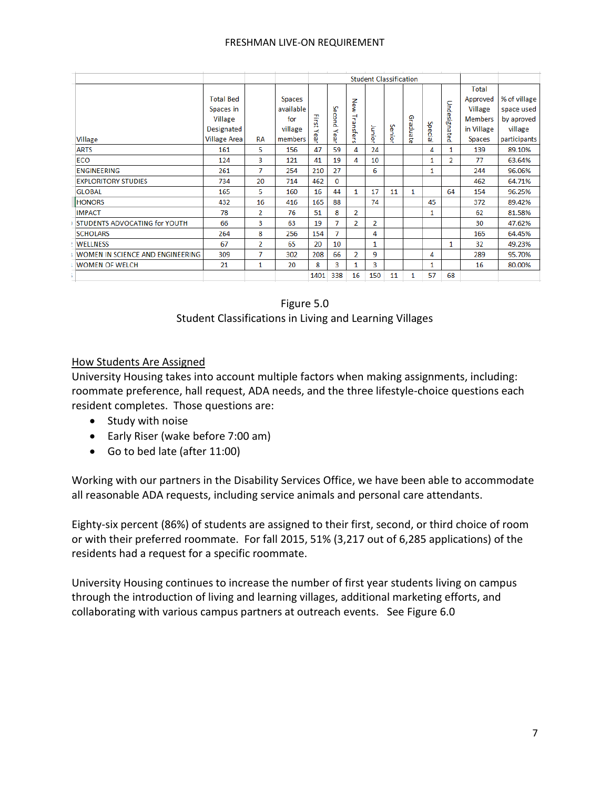#### FRESHMAN LIVE-ON REQUIREMENT

|                                  |                     |           |           | <b>Student Classification</b> |          |                  |                |        |          |         |                |                |              |
|----------------------------------|---------------------|-----------|-----------|-------------------------------|----------|------------------|----------------|--------|----------|---------|----------------|----------------|--------------|
|                                  |                     |           |           |                               |          |                  |                |        |          |         |                | Total          |              |
|                                  | <b>Total Bed</b>    |           | Spaces    |                               |          |                  |                |        |          |         |                | Approved       | % of village |
|                                  | Spaces in           |           | available |                               |          | New              |                |        |          |         | Undesignated   | Village        | space used   |
|                                  | Village             |           | for       | 곶                             | Second   | ₹                |                |        |          |         |                | <b>Members</b> | by aproved   |
|                                  | Designated          |           | village   | ¥.<br>₹                       | ≺        | anst <sup></sup> | Junior         | Senior | Graduate | Special |                | in Village     | village      |
| Village                          | <b>Village Area</b> | <b>RA</b> | members   | 읫                             | ear      | ሮ<br>ωï.         |                |        |          |         |                | Spaces         | participants |
| <b>ARTS</b>                      | 161                 | 5         | 156       | 47                            | 59       | 4                | 24             |        |          | 4       | $\mathbf{1}$   | 139            | 89.10%       |
| <b>ECO</b>                       | 124                 | 3         | 121       | 41                            | 19       | 4                | 10             |        |          | 1       | $\overline{2}$ | 77             | 63.64%       |
| <b>ENGINEERING</b>               | 261                 | 7         | 254       | 210                           | 27       |                  | 6              |        |          | 1       |                | 244            | 96.06%       |
| <b>EXPLORITORY STUDIES</b>       | 734                 | 20        | 714       | 462                           | $\bf{0}$ |                  |                |        |          |         |                | 462            | 64.71%       |
| <b>GLOBAL</b>                    | 165                 | 5         | 160       | 16                            | 44       | 1                | 17             | 11     | 1        |         | 64             | 154            | 96.25%       |
| <b>HONORS</b>                    | 432                 | 16        | 416       | 165                           | 88       |                  | 74             |        |          | 45      |                | 372            | 89.42%       |
| <b>IMPACT</b>                    | 78                  | 2         | 76        | 51                            | 8        | $\overline{2}$   |                |        |          | 1       |                | 62             | 81.58%       |
| STUDENTS ADVOCATING for YOUTH    | 66                  | 3         | 63        | 19                            | 7        | $\overline{2}$   | $\overline{2}$ |        |          |         |                | 30             | 47.62%       |
| <b>SCHOLARS</b>                  | 264                 | 8         | 256       | 154                           | 7        |                  | 4              |        |          |         |                | 165            | 64.45%       |
| <b>WELLNESS</b>                  | 67                  | 2         | 65        | 20                            | 10       |                  | $\mathbf{1}$   |        |          |         | 1              | 32             | 49.23%       |
| WOMEN IN SCIENCE AND ENGINEERING | 309                 | 7         | 302       | 208                           | 66       | $\overline{2}$   | 9              |        |          | 4       |                | 289            | 95.70%       |
| <b>WOMEN OF WELCH</b>            | 21                  | 1         | 20        | 8                             | 3        |                  | 3              |        |          | 1       |                | 16             | 80.00%       |
|                                  |                     |           |           | 1401                          | 338      | 16               | 150            | 11     | 1        | 57      | 68             |                |              |

## Figure 5.0 Student Classifications in Living and Learning Villages

## How Students Are Assigned

University Housing takes into account multiple factors when making assignments, including: roommate preference, hall request, ADA needs, and the three lifestyle-choice questions each resident completes. Those questions are:

- Study with noise
- Early Riser (wake before 7:00 am)
- Go to bed late (after 11:00)

Working with our partners in the Disability Services Office, we have been able to accommodate all reasonable ADA requests, including service animals and personal care attendants.

Eighty-six percent (86%) of students are assigned to their first, second, or third choice of room or with their preferred roommate. For fall 2015, 51% (3,217 out of 6,285 applications) of the residents had a request for a specific roommate.

University Housing continues to increase the number of first year students living on campus through the introduction of living and learning villages, additional marketing efforts, and collaborating with various campus partners at outreach events. See Figure 6.0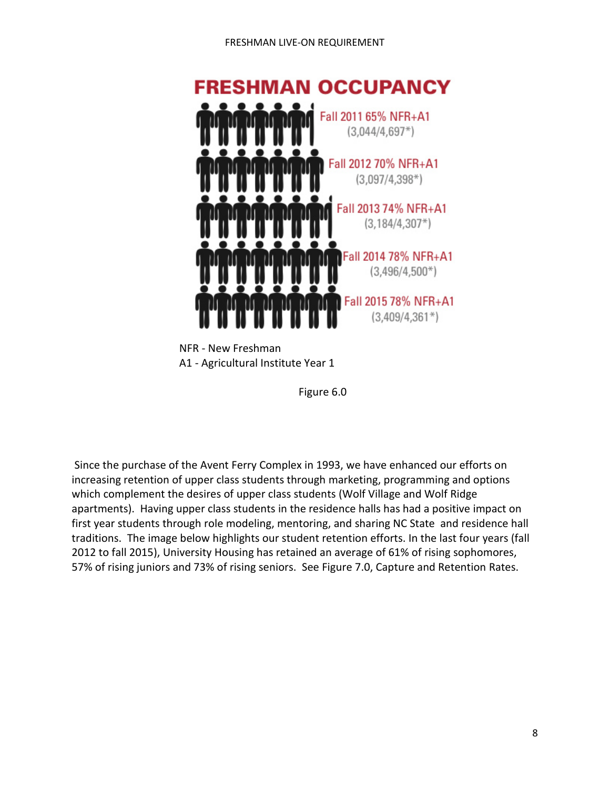

NFR - New Freshman A1 - Agricultural Institute Year 1

Figure 6.0

Since the purchase of the Avent Ferry Complex in 1993, we have enhanced our efforts on increasing retention of upper class students through marketing, programming and options which complement the desires of upper class students (Wolf Village and Wolf Ridge apartments). Having upper class students in the residence halls has had a positive impact on first year students through role modeling, mentoring, and sharing NC State and residence hall traditions. The image below highlights our student retention efforts. In the last four years (fall 2012 to fall 2015), University Housing has retained an average of 61% of rising sophomores, 57% of rising juniors and 73% of rising seniors. See Figure 7.0, Capture and Retention Rates.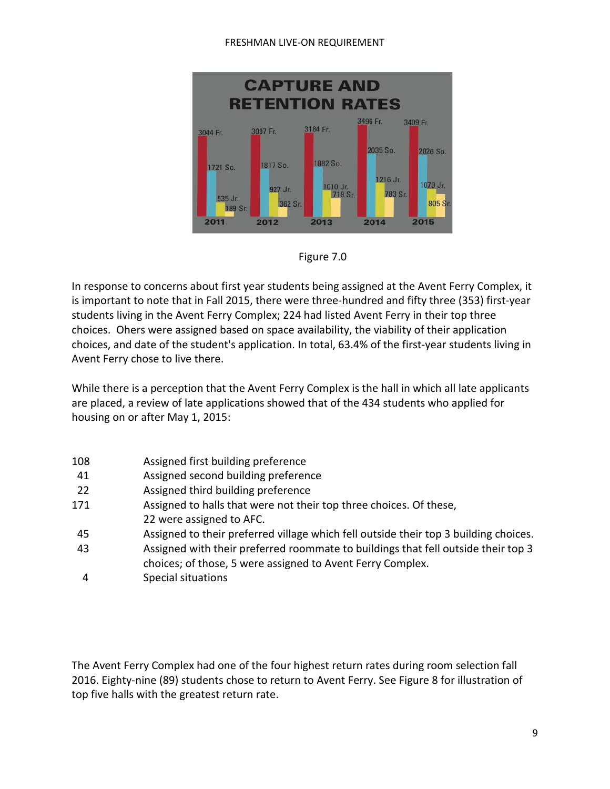#### FRESHMAN LIVE-ON REQUIREMENT





In response to concerns about first year students being assigned at the Avent Ferry Complex, it is important to note that in Fall 2015, there were three-hundred and fifty three (353) first-year students living in the Avent Ferry Complex; 224 had listed Avent Ferry in their top three choices. Ohers were assigned based on space availability, the viability of their application choices, and date of the student's application. In total, 63.4% of the first-year students living in Avent Ferry chose to live there.

While there is a perception that the Avent Ferry Complex is the hall in which all late applicants are placed, a review of late applications showed that of the 434 students who applied for housing on or after May 1, 2015:

| Assigned first building preference<br>Assigned second building preference<br>41<br>Assigned third building preference<br>22<br>Assigned to halls that were not their top three choices. Of these,<br>22 were assigned to AFC.<br>45<br>43<br>choices; of those, 5 were assigned to Avent Ferry Complex.<br>Special situations |     |                                                                                      |
|-------------------------------------------------------------------------------------------------------------------------------------------------------------------------------------------------------------------------------------------------------------------------------------------------------------------------------|-----|--------------------------------------------------------------------------------------|
| 171                                                                                                                                                                                                                                                                                                                           | 108 |                                                                                      |
|                                                                                                                                                                                                                                                                                                                               |     |                                                                                      |
|                                                                                                                                                                                                                                                                                                                               |     |                                                                                      |
|                                                                                                                                                                                                                                                                                                                               |     |                                                                                      |
|                                                                                                                                                                                                                                                                                                                               |     |                                                                                      |
|                                                                                                                                                                                                                                                                                                                               |     | Assigned to their preferred village which fell outside their top 3 building choices. |
|                                                                                                                                                                                                                                                                                                                               |     | Assigned with their preferred roommate to buildings that fell outside their top 3    |
|                                                                                                                                                                                                                                                                                                                               |     |                                                                                      |
|                                                                                                                                                                                                                                                                                                                               |     |                                                                                      |

The Avent Ferry Complex had one of the four highest return rates during room selection fall 2016. Eighty-nine (89) students chose to return to Avent Ferry. See Figure 8 for illustration of top five halls with the greatest return rate.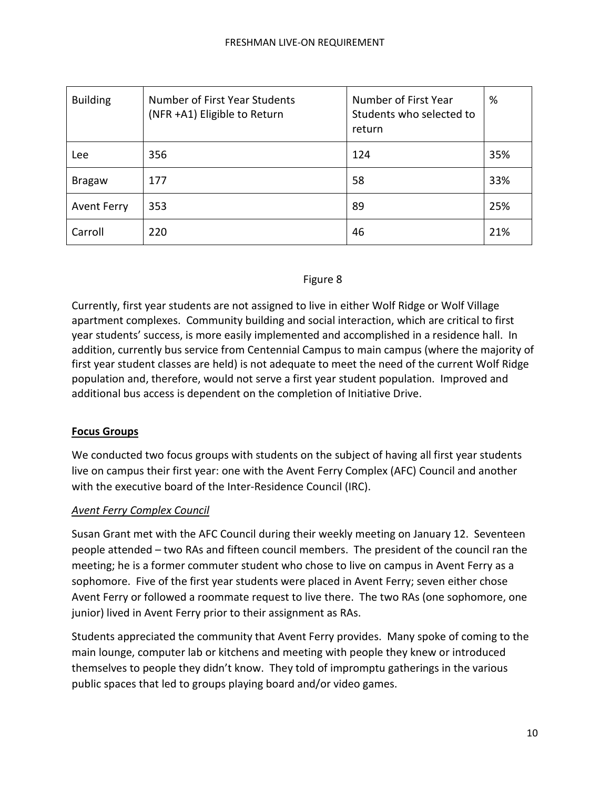| <b>Building</b>    | Number of First Year Students<br>(NFR +A1) Eligible to Return | Number of First Year<br>Students who selected to<br>return | %   |
|--------------------|---------------------------------------------------------------|------------------------------------------------------------|-----|
| Lee                | 356                                                           | 124                                                        | 35% |
| <b>Bragaw</b>      | 177                                                           | 58                                                         | 33% |
| <b>Avent Ferry</b> | 353                                                           | 89                                                         | 25% |
| Carroll            | 220                                                           | 46                                                         | 21% |

## Figure 8

Currently, first year students are not assigned to live in either Wolf Ridge or Wolf Village apartment complexes. Community building and social interaction, which are critical to first year students' success, is more easily implemented and accomplished in a residence hall. In addition, currently bus service from Centennial Campus to main campus (where the majority of first year student classes are held) is not adequate to meet the need of the current Wolf Ridge population and, therefore, would not serve a first year student population. Improved and additional bus access is dependent on the completion of Initiative Drive.

## **Focus Groups**

We conducted two focus groups with students on the subject of having all first year students live on campus their first year: one with the Avent Ferry Complex (AFC) Council and another with the executive board of the Inter-Residence Council (IRC).

## *Avent Ferry Complex Council*

Susan Grant met with the AFC Council during their weekly meeting on January 12. Seventeen people attended – two RAs and fifteen council members. The president of the council ran the meeting; he is a former commuter student who chose to live on campus in Avent Ferry as a sophomore. Five of the first year students were placed in Avent Ferry; seven either chose Avent Ferry or followed a roommate request to live there. The two RAs (one sophomore, one junior) lived in Avent Ferry prior to their assignment as RAs.

Students appreciated the community that Avent Ferry provides. Many spoke of coming to the main lounge, computer lab or kitchens and meeting with people they knew or introduced themselves to people they didn't know. They told of impromptu gatherings in the various public spaces that led to groups playing board and/or video games.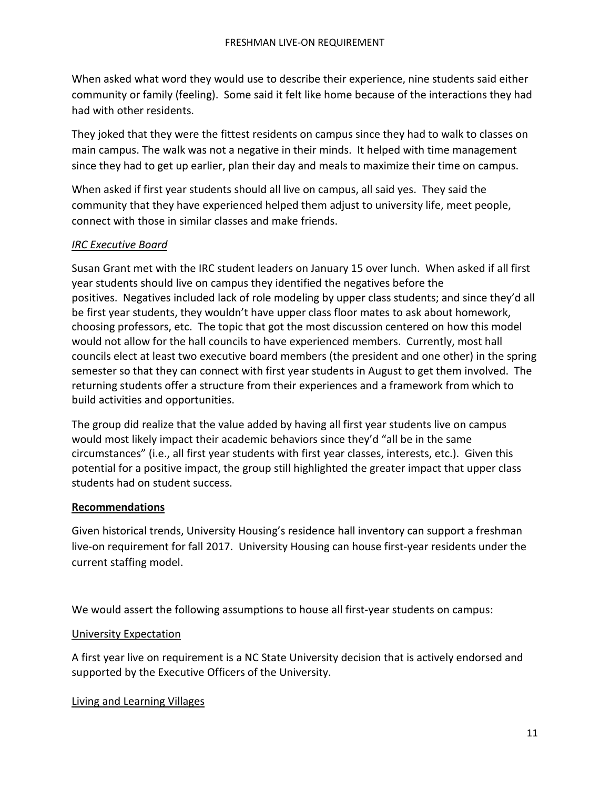When asked what word they would use to describe their experience, nine students said either community or family (feeling). Some said it felt like home because of the interactions they had had with other residents.

They joked that they were the fittest residents on campus since they had to walk to classes on main campus. The walk was not a negative in their minds. It helped with time management since they had to get up earlier, plan their day and meals to maximize their time on campus.

When asked if first year students should all live on campus, all said yes. They said the community that they have experienced helped them adjust to university life, meet people, connect with those in similar classes and make friends.

## *IRC Executive Board*

Susan Grant met with the IRC student leaders on January 15 over lunch. When asked if all first year students should live on campus they identified the negatives before the positives. Negatives included lack of role modeling by upper class students; and since they'd all be first year students, they wouldn't have upper class floor mates to ask about homework, choosing professors, etc. The topic that got the most discussion centered on how this model would not allow for the hall councils to have experienced members. Currently, most hall councils elect at least two executive board members (the president and one other) in the spring semester so that they can connect with first year students in August to get them involved. The returning students offer a structure from their experiences and a framework from which to build activities and opportunities.

The group did realize that the value added by having all first year students live on campus would most likely impact their academic behaviors since they'd "all be in the same circumstances" (i.e., all first year students with first year classes, interests, etc.). Given this potential for a positive impact, the group still highlighted the greater impact that upper class students had on student success.

## **Recommendations**

Given historical trends, University Housing's residence hall inventory can support a freshman live-on requirement for fall 2017. University Housing can house first-year residents under the current staffing model.

We would assert the following assumptions to house all first-year students on campus:

## University Expectation

A first year live on requirement is a NC State University decision that is actively endorsed and supported by the Executive Officers of the University.

## Living and Learning Villages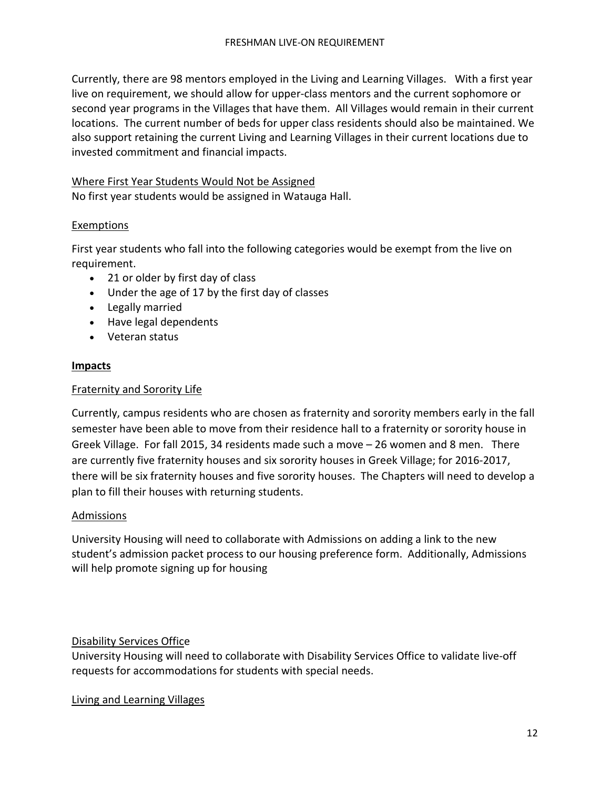Currently, there are 98 mentors employed in the Living and Learning Villages. With a first year live on requirement, we should allow for upper-class mentors and the current sophomore or second year programs in the Villages that have them. All Villages would remain in their current locations. The current number of beds for upper class residents should also be maintained. We also support retaining the current Living and Learning Villages in their current locations due to invested commitment and financial impacts.

## Where First Year Students Would Not be Assigned

No first year students would be assigned in Watauga Hall.

## Exemptions

First year students who fall into the following categories would be exempt from the live on requirement.

- 21 or older by first day of class
- Under the age of 17 by the first day of classes
- Legally married
- Have legal dependents
- Veteran status

### **Impacts**

### Fraternity and Sorority Life

Currently, campus residents who are chosen as fraternity and sorority members early in the fall semester have been able to move from their residence hall to a fraternity or sorority house in Greek Village. For fall 2015, 34 residents made such a move – 26 women and 8 men. There are currently five fraternity houses and six sorority houses in Greek Village; for 2016-2017, there will be six fraternity houses and five sorority houses. The Chapters will need to develop a plan to fill their houses with returning students.

#### Admissions

University Housing will need to collaborate with Admissions on adding a link to the new student's admission packet process to our housing preference form. Additionally, Admissions will help promote signing up for housing

## Disability Services Office

University Housing will need to collaborate with Disability Services Office to validate live-off requests for accommodations for students with special needs.

Living and Learning Villages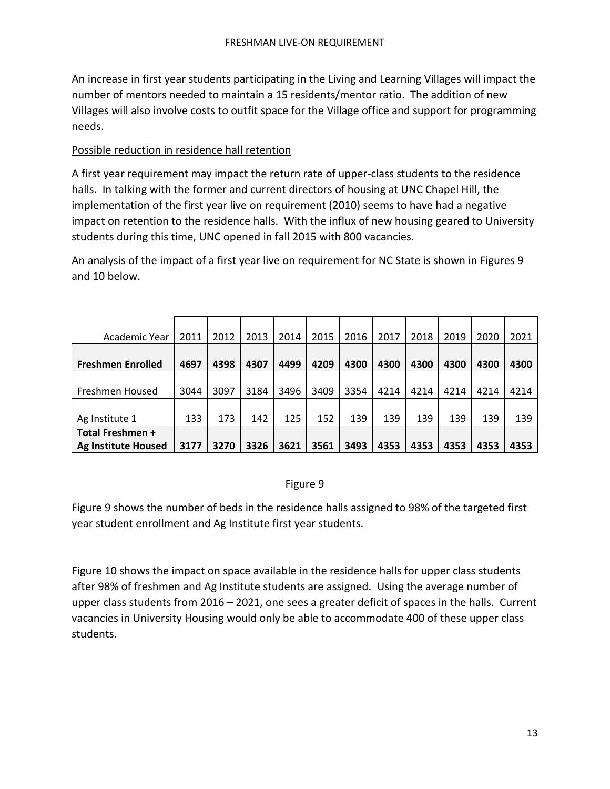An increase in first year students participating in the Living and Learning Villages will impact the number of mentors needed to maintain a 15 residents/mentor ratio. The addition of new Villages will also involve costs to outfit space for the Village office and support for programming needs.

# Possible reduction in residence hall retention

A first year requirement may impact the return rate of upper-class students to the residence halls. In talking with the former and current directors of housing at UNC Chapel Hill, the implementation of the first year live on requirement (2010) seems to have had a negative impact on retention to the residence halls. With the influx of new housing geared to University students during this time, UNC opened in fall 2015 with 800 vacancies.

An analysis of the impact of a first year live on requirement for NC State is shown in Figures 9 and 10 below.

| Academic Year              | 2011 | 2012 | 2013 | 2014 | 2015 | 2016 | 2017 | 2018 | 2019 | 2020 | 2021 |
|----------------------------|------|------|------|------|------|------|------|------|------|------|------|
|                            |      |      |      |      |      |      |      |      |      |      |      |
| <b>Freshmen Enrolled</b>   | 4697 | 4398 | 4307 | 4499 | 4209 | 4300 | 4300 | 4300 | 4300 | 4300 | 4300 |
|                            |      |      |      |      |      |      |      |      |      |      |      |
| Freshmen Housed            | 3044 | 3097 | 3184 | 3496 | 3409 | 3354 | 4214 | 4214 | 4214 | 4214 | 4214 |
|                            |      |      |      |      |      |      |      |      |      |      |      |
| Ag Institute 1             | 133  | 173  | 142  | 125  | 152  | 139  | 139  | 139  | 139  | 139  | 139  |
| <b>Total Freshmen +</b>    |      |      |      |      |      |      |      |      |      |      |      |
| <b>Ag Institute Housed</b> | 3177 | 3270 | 3326 | 3621 | 3561 | 3493 | 4353 | 4353 | 4353 | 4353 | 4353 |

# Figure 9

Figure 9 shows the number of beds in the residence halls assigned to 98% of the targeted first year student enrollment and Ag Institute first year students.

Figure 10 shows the impact on space available in the residence halls for upper class students after 98% of freshmen and Ag Institute students are assigned. Using the average number of upper class students from 2016 – 2021, one sees a greater deficit of spaces in the halls. Current vacancies in University Housing would only be able to accommodate 400 of these upper class students.